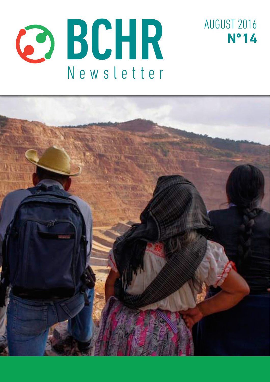



AUGUST 2016

**Nº 14**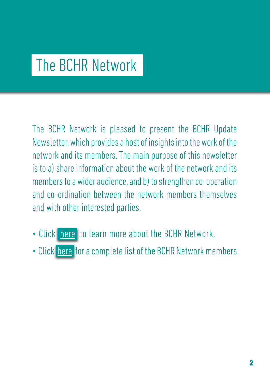# The BCHR Network

The BCHR Network is pleased to present the BCHR Update Newsletter, which provides a host of insights into the work of the network and its members. The main purpose of this newsletter is to a) share information about the work of the network and its members to a wider audience, and b) to strengthen co-operation and co-ordination between the network members themselves and with other interested parties.

- Click [here](http://www.networkbchr.org/) to learn more about the BCHR Network.
- Click [here](http://www.networkbchr.org/#!join-the-network/c24vq) for a complete list of the BCHR Network members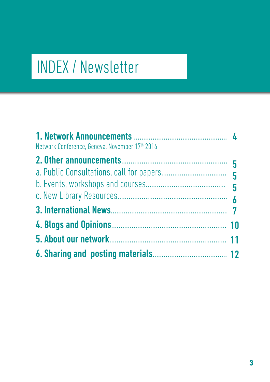# INDEX / Newsletter

| Network Conference, Geneva, November 17th 2016 |  |
|------------------------------------------------|--|
|                                                |  |
|                                                |  |
|                                                |  |
|                                                |  |
|                                                |  |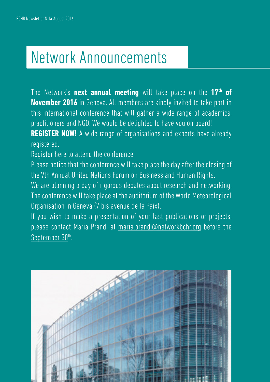# Network Announcements

The Network's **next annual meeting** will take place on the **17th of November 2016** in Geneva. All members are kindly invited to take part in this international conference that will gather a wide range of academics, practitioners and NGO. We would be delighted to have you on board! **REGISTER NOW!** A wide range of organisations and experts have already registered.

[Register here](http://www.networkbchr.org/#!register-for-the-annual-meeting/c10x6) to attend the conference.

Please notice that the conference will take place the day after the closing of the Vth Annual United Nations Forum on Business and Human Rights.

We are planning a day of rigorous debates about research and networking. The conference will take place at the auditorium of the World Meteorological Organisation in Geneva (7 bis avenue de la Paix).

If you wish to make a presentation of your last publications or projects, please contact Maria Prandi at [maria.prandi@networkbchr.org](mailto:maria.prandi%40networkbchr.org?subject=) before the September 30<sup>th</sup>.

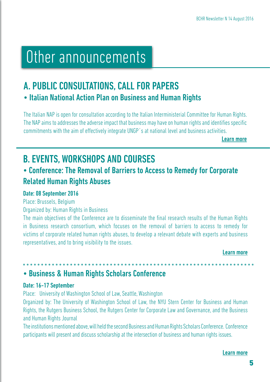## Other announcements

## A. PUBLIC CONSULTATIONS, CALL FOR PAPERS • Italian National Action Plan on Business and Human Rights

The Italian NAP is open for consultation according to the Italian Interministerial Committee for Human Rights. The NAP aims to addresses the adverse impact that business may have on human rights and identifies specific commitments with the aim of effectively integrate UNGP´s at national level and business activities.

[Learn more](http://tinyurl.com/hc7qfu8)

## B. EVENTS, WORKSHOPS AND COURSES

## • Conference: The Removal of Barriers to Access to Remedy for Corporate Related Human Rights Abuses

#### Date: 08 September 2016

Place: Brussels, Belgium

Organized by: Human Rights in Business

The main objectives of the Conference are to disseminate the final research results of the Human Rights in Business research consortium, which focuses on the removal of barriers to access to remedy for victims of corporate related human rights abuses, to develop a relevant debate with experts and business representatives, and to bring visibility to the issues.

[Learn more](http://tinyurl.com/j4gj26h)

## • Business & Human Rights Scholars Conference

#### Date: 16-17 September

Place: University of Washington School of Law, Seattle, Washington

Organized by: The University of Washington School of Law, the NYU Stern Center for Business and Human Rights, the Rutgers Business School, the Rutgers Center for Corporate Law and Governance, and the Business and Human Rights Journal

The institutions mentioned above, will held the second Business and Human Rights Scholars Conference. Conference participants will present and discuss scholarship at the intersection of business and human rights issues.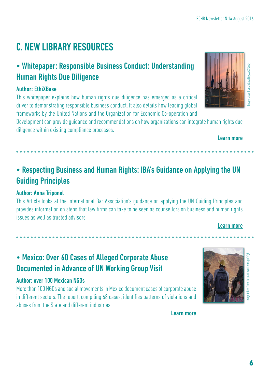## C. NEW LIBRARY RESOURCES

## • Whitepaper: Responsible Business Conduct: Understanding Human Rights Due Diligence

#### Author: EthiXBase

This whitepaper explains how human rights due diligence has emerged as a critical driver to demonstrating responsible business conduct. It also details how leading global frameworks by the United Nations and the Organization for Economic Co-operation and

Development can provide guidance and recommendations on how organizations can integrate human rights due diligence within existing compliance processes.

## • Respecting Business and Human Rights: IBA's Guidance on Applying the UN Guiding Principles

### Author: Anna Triponel

This Article looks at the International Bar Association's guidance on applying the UN Guiding Principles and provides information on steps that law firms can take to be seen as counsellors on business and human rights issues as well as trusted advisors.

## [Learn more](http://uk.practicallaw.com/2-630-5490#)

## • Mexico: Over 60 Cases of Alleged Corporate Abuse Documented in Advance of UN Working Group Visit

#### Author: over 100 Mexican NGOs

More than 100 NGOs and social movements in Mexico document cases of corporate abuse in different sectors. The report, compiling 68 cases, identifies patterns of violations and abuses from the State and different industries.

[Learn more](http://tinyurl.com/gpfcfg8)



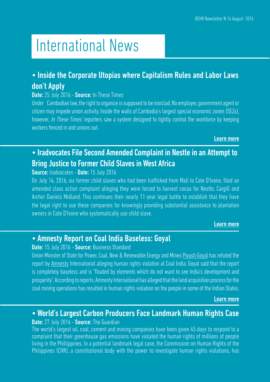# International News

### • Inside the Corporate Utopias where Capitalism Rules and Labor Laws don't Apply

#### Date: 25 July 2016 - Source: In These Times

Under Cambodian law, the right to organize is supposed to be ironclad. No employer, government agent or citizen may impede union activity. Inside the walls of Cambodia's largest special economic zones (SEZs), however, *In These Times'* reporters saw a system designed to tightly control the workforce by keeping workers fenced in and unions out.

[Learn more](http://tinyurl.com/zv93qxs)

## • Iradvocates File Second Amended Complaint in Nestle in an Attempt to Bring Justice to Former Child Slaves in West Africa

#### Source: Iradvocates - Date: 15 July 2016

On July 14, 2016, six former child slaves who had been trafficked from Mali to Cote D'Ivoire, filed an amended class action complaint alleging they were forced to harvest cocoa for Nestle, Cargill and Archer Daniels Midland. This continues their nearly 11-year legal battle to establish that they have the legal right to sue these companies for knowingly providing substantial assistance to plantation owners in Cote D'Ivoire who systematically use child slave.

#### [Learn more](http://tinyurl.com/j4gj26h)

### • Amnesty Report on Coal India Baseless: Goyal

#### Date: 15 July 2016 - Source: Business Standard

Union Minister of State for Power, Coal, New & Renewable Energy and Mines [Piyush Goyal](http://www.business-standard.com/search?type=news&q=Piyush+Goyal) has refuted the report by [Amnesty](http://www.business-standard.com/search?type=news&q=Amnesty) International alleging [human rights violation](http://www.business-standard.com/search?type=news&q=Human+Rights+Violation) at Coal India. Goyal said that the report is completely baseless and is "floated by elements which do not want to see India's development and prosperity". According to reports, Amnesty International has alleged that the land acquisition process for the coal mining operations has resulted in human rights violation on the people in some of the Indian States.

#### [Learn more](http://tinyurl.com/jknwlyv)

#### • World's Largest Carbon Producers Face Landmark Human Rights Case **Date:** 27 July 2016 - **Source:** The Guardian

The world's largest oil, coal, cement and mining companies have been given 45 days to respond to a complaint that their greenhouse gas emissions have violated the human rights of millions of people living in the Phillippines. In a potential landmark legal case, the Commission on Human Rights of the Philippines (CHR), a constitutional body with the power to investigate human rights violations, has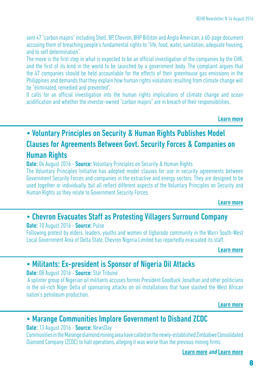sent 47 "carbon majors" including Shell, BP, Chevron, BHP Billiton and Anglo American, a 60-page document accusing them of breaching people's fundamental rights to "life, food, water, sanitation, adequate housing, and to self determination".

The move is the first step in what is expected to be an official investigation of the companies by the CHR, and the first of its kind in the world to be launched by a government body. The complaint argues that the 47 companies should be held accountable for the effects of their greenhouse gas emissions in the Philippines and demands that they explain how human rights violations resulting from climate change will be "eliminated, remedied and prevented".

It calls for an official investigation into the human rights implications of climate change and ocean acidification and whether the investor-owned "carbon majors" are in breach of their responsibilities.

[Learn more](http://tinyurl.com/j47xgpc)

## • Voluntary Principles on Security & Human Rights Publishes Model Clauses for Agreements Between Govt. Security Forces & Companies on Human Rights

**Date:** 04 August 2016 - **Source:** Voluntary Principles on Security & Human Rights

The Voluntary Principles Initiative has adopted model clauses for use in security agreements between Government Security Forces and companies in the extractive and energy sectors. They are designed to be used together or individually, but all reflect different aspects of the Voluntary Principles on Security and Human Rights as they relate to Government Security Forces.

[Learn more](http://tinyurl.com/hurb2xk)

### • Chevron Evacuates Staff as Protesting Villagers Surround Company

#### Date: 10 August 2016 - Source: Pulse

Following protest by elders, leaders, youths and women of Ugborodo community in the Warri South-West Local Government Area of Delta State, Chevron Nigeria Limited has reportedly evacuated its staff.

[Learn more](http://tinyurl.com/jxa3k3k)

### • Militants: Ex-president is Sponsor of Nigeria Oil Attacks

#### Date: 08 August 2016 - Source: Star Tribune

 A splinter group of Nigerian oil militants accuses former President Goodluck Jonathan and other politicians in the oil-rich Niger Delta of sponsoring attacks on oil installations that have slashed the West African nation's petroleum production.

[Learn more](http://tinyurl.com/jplasjh)

### • Marange Communities Implore Government to Disband ZCDC

#### Date: 13 August 2016 - Source: NewsDay

Communities in the Marange diamond mining area have called on the newly-established Zimbabwe Consolidated Diamond Company (ZCDC) to halt operations, alleging it was worse than the previous mining firms.

[Learn more](http://tinyurl.com/zaslelr) and [Learn more](http://tinyurl.com/glbh2x8)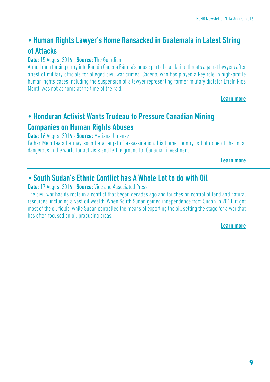## • Human Rights Lawyer's Home Ransacked in Guatemala in Latest String of Attacks

#### **Date:** 15 August 2016 - **Source:** The Guardian

Armed men forcing entry into Ramón Cadena Rámila's house part of escalating threats against lawyers after arrest of military officials for alleged civil war crimes. Cadena, who has played a key role in high-profile human rights cases including the suspension of a lawyer representing former military dictator Efraín Rios Montt, was not at home at the time of the raid.

[Learn more](http://tinyurl.com/h64aqpj)

## • Honduran Activist Wants Trudeau to Pressure Canadian Mining

## Companies on Human Rights Abuses

Date: 16 August 2016 - Source: Mariana Jimenez

Father Melo fears he may soon be a target of assassination. His home country is both one of the most dangerous in the world for activists and fertile ground for Canadian investment.

[Learn more](http://tinyurl.com/gsqe8zt)

## • South Sudan's Ethnic Conflict has A Whole Lot to do with Oil

**Date:** 17 August 2016 - **Source:** Vice and Associated Press

The civil war has its roots in a conflict that began decades ago and touches on control of land and natural resources, including a vast oil wealth. When South Sudan gained independence from Sudan in 2011, it got most of the oil fields, while Sudan controlled the means of exporting the oil, setting the stage for a war that has often focused on oil-producing areas.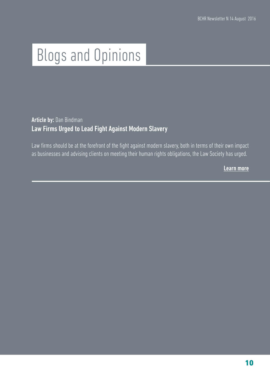# Blogs and Opinions

### Article by: Dan Bindman Law Firms Urged to Lead Fight Against Modern Slavery

Law firms should be at the forefront of the fight against modern slavery, both in terms of their own impact as businesses and advising clients on meeting their human rights obligations, the Law Society has urged.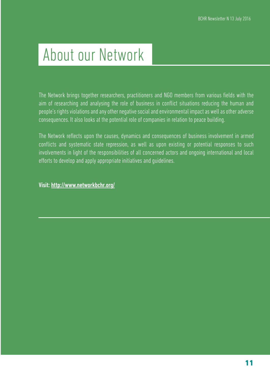# About our Network

The Network brings together researchers, practitioners and NGO members from various fields with the aim of researching and analysing the role of business in conflict situations reducing the human and people's rights violations and any other negative social and environmental impact as well as other adverse consequences. It also looks at the potential role of companies in relation to peace building.

The Network reflects upon the causes, dynamics and consequences of business involvement in armed conflicts and systematic state repression, as well as upon existing or potential responses to such involvements in light of the responsibilities of all concerned actors and ongoing international and local efforts to develop and apply appropriate initiatives and guidelines.

Visit: <http://www.networkbchr.org/>